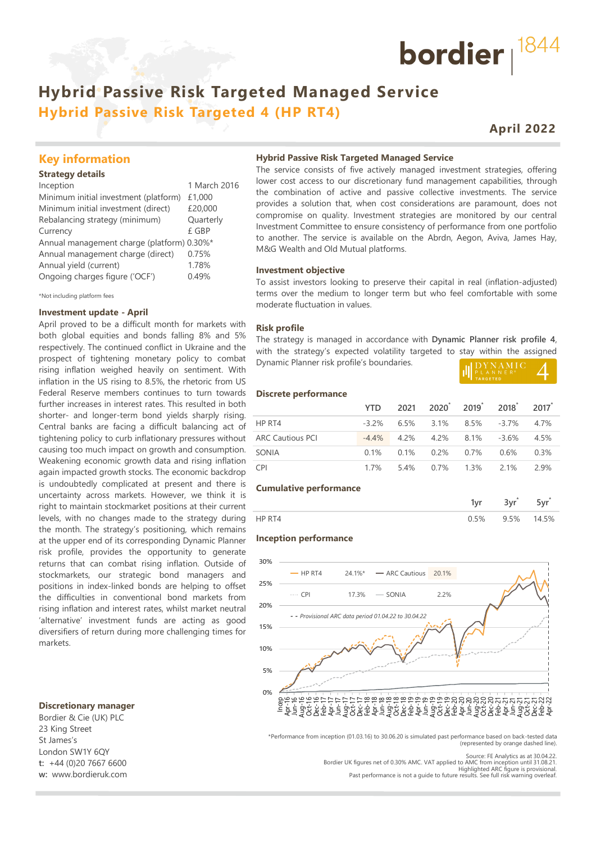# **Hybrid Passive Risk Targeted Managed Service Hybrid Passive Risk Targeted 4 (HP RT4)**

# **April 2022**

bordier  $1844$ 

## **Key information**

#### **Strategy details**

| Inception                                  | 1 March 2016 |
|--------------------------------------------|--------------|
| Minimum initial investment (platform)      | £1,000       |
| Minimum initial investment (direct)        | £20,000      |
| Rebalancing strategy (minimum)             | Quarterly    |
| Currency                                   | £ GBP        |
| Annual management charge (platform) 0.30%* |              |
| Annual management charge (direct)          | 0.75%        |
| Annual yield (current)                     | 1.78%        |
| Ongoing charges figure ('OCF')             | 0.49%        |
|                                            |              |

\*Not including platform fees

#### **Investment update - April**

April proved to be a difficult month for markets with both global equities and bonds falling 8% and 5% respectively. The continued conflict in Ukraine and the prospect of tightening monetary policy to combat rising inflation weighed heavily on sentiment. With inflation in the US rising to 8.5%, the rhetoric from US Federal Reserve members continues to turn towards further increases in interest rates. This resulted in both shorter- and longer-term bond yields sharply rising. Central banks are facing a difficult balancing act of tightening policy to curb inflationary pressures without causing too much impact on growth and consumption. Weakening economic growth data and rising inflation again impacted growth stocks. The economic backdrop is undoubtedly complicated at present and there is uncertainty across markets. However, we think it is right to maintain stockmarket positions at their current levels, with no changes made to the strategy during the month. The strategy's positioning, which remains at the upper end of its corresponding Dynamic Planner risk profile, provides the opportunity to generate returns that can combat rising inflation. Outside of stockmarkets, our strategic bond managers and positions in index-linked bonds are helping to offset the difficulties in conventional bond markets from rising inflation and interest rates, whilst market neutral 'alternative' investment funds are acting as good diversifiers of return during more challenging times for markets.

#### **Discretionary manager**

Bordier & Cie (UK) PLC 23 King Street St James's London SW1Y 6QY **t:** +44 (0)20 7667 6600 **w:** www.bordieruk.com

#### **Hybrid Passive Risk Targeted Managed Service**

The service consists of five actively managed investment strategies, offering lower cost access to our discretionary fund management capabilities, through the combination of active and passive collective investments. The service provides a solution that, when cost considerations are paramount, does not compromise on quality. Investment strategies are monitored by our central Investment Committee to ensure consistency of performance from one portfolio to another. The service is available on the Abrdn, Aegon, Aviva, James Hay, M&G Wealth and Old Mutual platforms.

#### **Investment objective**

To assist investors looking to preserve their capital in real (inflation-adjusted) terms over the medium to longer term but who feel comfortable with some moderate fluctuation in values.

#### **Risk profile**

The strategy is managed in accordance with **Dynamic Planner risk profile 4**, with the strategy's expected volatility targeted to stay within the assigned Dynamic Planner risk profile's boundaries.

|--|

#### **Discrete performance**

|                         | <b>YTD</b> |                               | 2021 2020 2019 2018 2017              |      |
|-------------------------|------------|-------------------------------|---------------------------------------|------|
| HP RT4                  |            |                               | $-3.2\%$ 6.5% 3.1% 8.5% $-3.7\%$ 4.7% |      |
| <b>ARC Cautious PCI</b> |            | $-4.4\%$ 4.2% 4.2% 8.1% -3.6% |                                       | 4.5% |
| SONIA                   |            | $0.1\%$ 0.1% 0.2% 0.7% 0.6%   |                                       | 0.3% |
| CPI.                    | 1 7%       | 5.4% 0.7% 1.3% 2.1%           |                                       | 29%  |

#### **Cumulative performance**

| --- | --- |  |
|-----|-----|--|
|     | 5%  |  |

#### **Inception performance**



\*Performance from inception (01.03.16) to 30.06.20 is simulated past performance based on back-tested data (represented by orange dashed line).

Source: FE Analytics as at 30.04.22.

Bordier UK figures net of 0.30% AMC. VAT applied to AMC from inception until 31.08.21.<br>Highlighted ARC figure is provisional.<br>Past performance is not a quide to future results. See full risk warning overleaf.